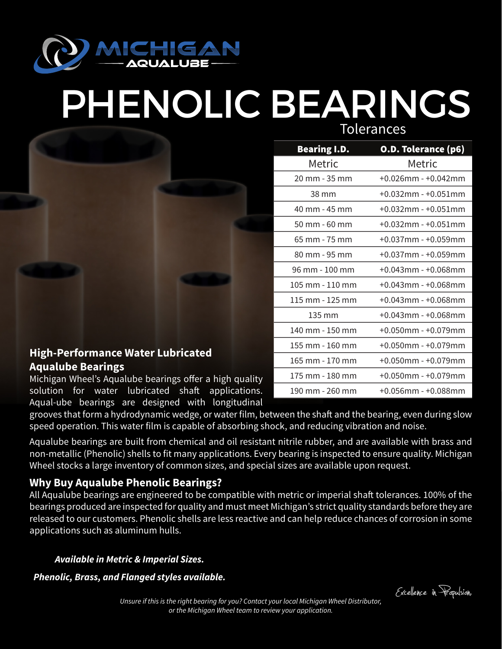

## PHENOLIC BEARINGS

Tolerances

| <b>Bearing I.D.</b> | O.D. Tolerance (p6)       |
|---------------------|---------------------------|
| Metric              | Metric                    |
| 20 mm - 35 mm       | $+0.026$ mm - $+0.042$ mm |
| 38 mm               | $+0.032$ mm - $+0.051$ mm |
| 40 mm - 45 mm       | $+0.032$ mm - $+0.051$ mm |
| 50 mm - 60 mm       | $+0.032$ mm - $+0.051$ mm |
| 65 mm - 75 mm       | +0.037mm - +0.059mm       |
| 80 mm - 95 mm       | $+0.037$ mm - $+0.059$ mm |
| 96 mm - 100 mm      | $+0.043$ mm - $+0.068$ mm |
| 105 mm - 110 mm     | +0.043mm - +0.068mm       |
| 115 mm - 125 mm     | +0.043mm - +0.068mm       |
| $135 \text{ mm}$    | +0.043mm - +0.068mm       |
| 140 mm - 150 mm     | $+0.050$ mm - $+0.079$ mm |
| 155 mm - 160 mm     | $+0.050$ mm - $+0.079$ mm |
| 165 mm - 170 mm     | $+0.050$ mm - $+0.079$ mm |
| 175 mm - 180 mm     | $+0.050$ mm - $+0.079$ mm |
| 190 mm - 260 mm     | $+0.056$ mm - $+0.088$ mm |

## **High-Performance Water Lubricated Aqualube Bearings**

Michigan Wheel's Aqualube bearings offer a high quality solution for water lubricated shaft applications. Aqual-ube bearings are designed with longitudinal

grooves that form a hydrodynamic wedge, or water film, between the shaft and the bearing, even during slow speed operation. This water film is capable of absorbing shock, and reducing vibration and noise.

Aqualube bearings are built from chemical and oil resistant nitrile rubber, and are available with brass and non-metallic (Phenolic) shells to fit many applications. Every bearing is inspected to ensure quality. Michigan Wheel stocks a large inventory of common sizes, and special sizes are available upon request.

## **Why Buy Aqualube Phenolic Bearings?**

All Aqualube bearings are engineered to be compatible with metric or imperial shaft tolerances. 100% of the bearings produced are inspected for quality and must meet Michigan's strict quality standards before they are released to our customers. Phenolic shells are less reactive and can help reduce chances of corrosion in some applications such as aluminum hulls.

*Available in Metric & Imperial Sizes.*

*Phenolic, Brass, and Flanged styles available.*

Excelence in Propulsion.